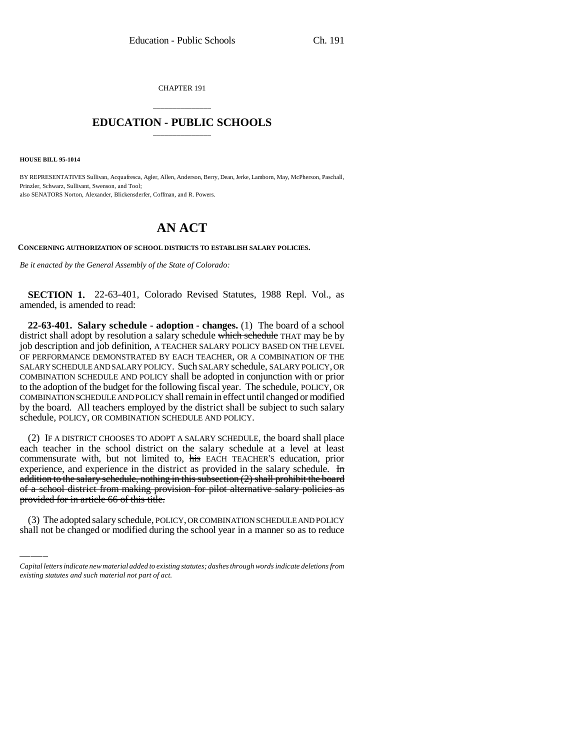CHAPTER 191

## \_\_\_\_\_\_\_\_\_\_\_\_\_\_\_ **EDUCATION - PUBLIC SCHOOLS** \_\_\_\_\_\_\_\_\_\_\_\_\_\_\_

**HOUSE BILL 95-1014**

BY REPRESENTATIVES Sullivan, Acquafresca, Agler, Allen, Anderson, Berry, Dean, Jerke, Lamborn, May, McPherson, Paschall, Prinzler, Schwarz, Sullivant, Swenson, and Tool; also SENATORS Norton, Alexander, Blickensderfer, Coffman, and R. Powers.

## **AN ACT**

**CONCERNING AUTHORIZATION OF SCHOOL DISTRICTS TO ESTABLISH SALARY POLICIES.**

*Be it enacted by the General Assembly of the State of Colorado:*

**SECTION 1.** 22-63-401, Colorado Revised Statutes, 1988 Repl. Vol., as amended, is amended to read:

**22-63-401. Salary schedule - adoption - changes.** (1) The board of a school district shall adopt by resolution a salary schedule which schedule THAT may be by job description and job definition, A TEACHER SALARY POLICY BASED ON THE LEVEL OF PERFORMANCE DEMONSTRATED BY EACH TEACHER, OR A COMBINATION OF THE SALARY SCHEDULE AND SALARY POLICY. Such SALARY schedule, SALARY POLICY, OR COMBINATION SCHEDULE AND POLICY shall be adopted in conjunction with or prior to the adoption of the budget for the following fiscal year. The schedule, POLICY, OR COMBINATION SCHEDULE AND POLICY shall remain in effect until changed or modified by the board. All teachers employed by the district shall be subject to such salary schedule, POLICY, OR COMBINATION SCHEDULE AND POLICY.

 $\frac{\text{addition of the salary structure}}{\text{of a school district from making provision for pilot alternative salary policies as}}$ (2) IF A DISTRICT CHOOSES TO ADOPT A SALARY SCHEDULE, the board shall place each teacher in the school district on the salary schedule at a level at least commensurate with, but not limited to, his EACH TEACHER'S education, prior experience, and experience in the district as provided in the salary schedule. In addition to the salary schedule, nothing in this subsection (2) shall prohibit the board provided for in article 66 of this title.

(3) The adopted salary schedule, POLICY, OR COMBINATION SCHEDULE AND POLICY shall not be changed or modified during the school year in a manner so as to reduce

*Capital letters indicate new material added to existing statutes; dashes through words indicate deletions from existing statutes and such material not part of act.*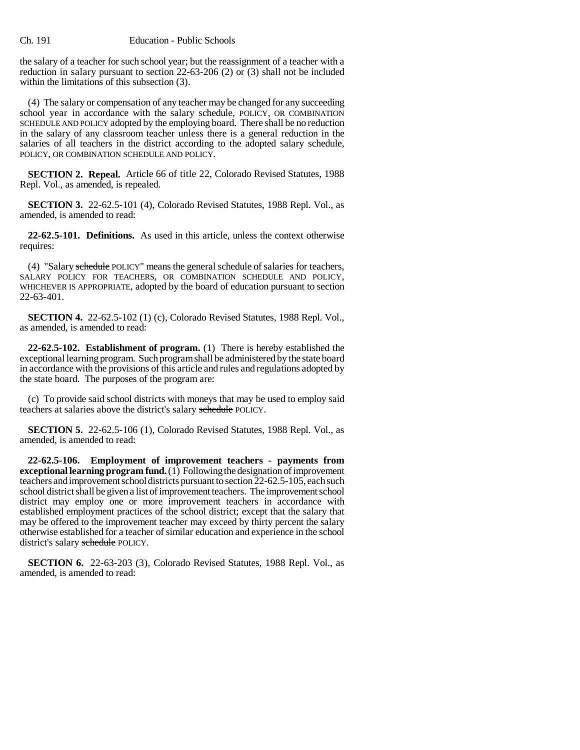the salary of a teacher for such school year; but the reassignment of a teacher with a reduction in salary pursuant to section 22-63-206 (2) or (3) shall not be included within the limitations of this subsection (3).

(4) The salary or compensation of any teacher may be changed for any succeeding school year in accordance with the salary schedule, POLICY, OR COMBINATION SCHEDULE AND POLICY adopted by the employing board. There shall be no reduction in the salary of any classroom teacher unless there is a general reduction in the salaries of all teachers in the district according to the adopted salary schedule, POLICY, OR COMBINATION SCHEDULE AND POLICY.

**SECTION 2. Repeal.** Article 66 of title 22, Colorado Revised Statutes, 1988 Repl. Vol., as amended, is repealed.

**SECTION 3.** 22-62.5-101 (4), Colorado Revised Statutes, 1988 Repl. Vol., as amended, is amended to read:

**22-62.5-101. Definitions.** As used in this article, unless the context otherwise requires:

(4) "Salary schedule POLICY" means the general schedule of salaries for teachers, SALARY POLICY FOR TEACHERS, OR COMBINATION SCHEDULE AND POLICY, WHICHEVER IS APPROPRIATE, adopted by the board of education pursuant to section 22-63-401.

**SECTION 4.** 22-62.5-102 (1) (c), Colorado Revised Statutes, 1988 Repl. Vol., as amended, is amended to read:

**22-62.5-102. Establishment of program.** (1) There is hereby established the exceptional learning program. Such program shall be administered by the state board in accordance with the provisions of this article and rules and regulations adopted by the state board. The purposes of the program are:

(c) To provide said school districts with moneys that may be used to employ said teachers at salaries above the district's salary schedule POLICY.

**SECTION 5.** 22-62.5-106 (1), Colorado Revised Statutes, 1988 Repl. Vol., as amended, is amended to read:

**22-62.5-106. Employment of improvement teachers - payments from exceptional learning program fund.** (1) Following the designation of improvement teachers and improvement school districts pursuant to section 22-62.5-105, each such school district shall be given a list of improvement teachers. The improvement school district may employ one or more improvement teachers in accordance with established employment practices of the school district; except that the salary that may be offered to the improvement teacher may exceed by thirty percent the salary otherwise established for a teacher of similar education and experience in the school district's salary schedule POLICY.

**SECTION 6.** 22-63-203 (3), Colorado Revised Statutes, 1988 Repl. Vol., as amended, is amended to read: